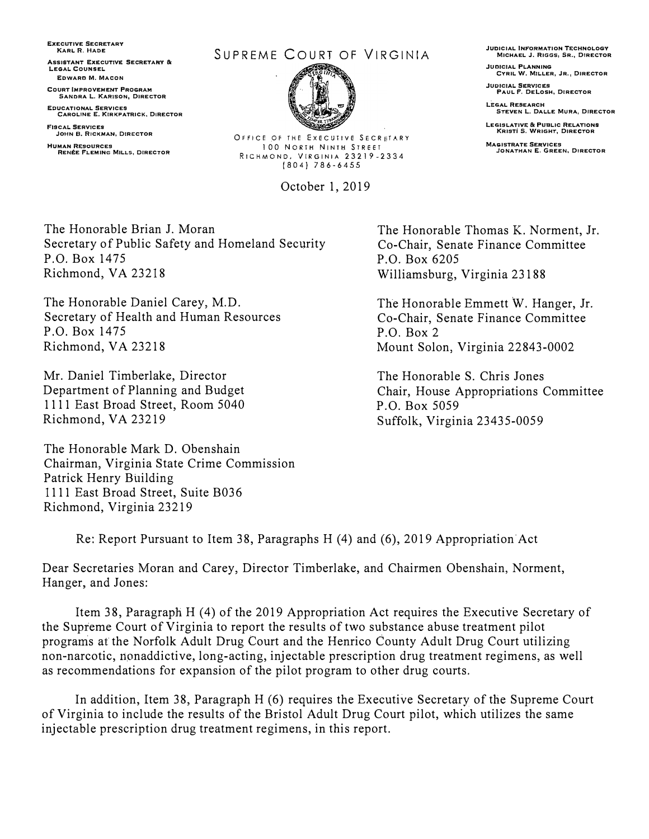**EXECUTIVE SECRETARY** 

**ASSISTANT** EXECUTIVE SECRETARY & LEGAL COUNSEL EDWARD M. MACON

COURT IMPROVEMENT PROGRAM **SANDRA L. KAR1SON, DIRECTOR** 

**EDUCATIONAL SERVICES CAROLINE E. KtRKPATRICK, DlRECTOR** 

FISCAL SERVICES<br>JOHN B. RICKMAN, DIRECTOR **HUMAN RESOURCES RENEE FLEMING MILLS, OtRECTOR** 

# KARL R. HAOE SUPREME COURT OF VIRGINIA **JUDICIAL INFORMATION TECHNOLOGY**



**KRISTI S. WRIGHT, DIRECTOR** JOHN B. RICKMAN, DIRECTOR OFFICE .OF THE EXECUTIVE SECR TARY 100 NORTH NINTH STREET RICHMOND, VIRGINIA 23219-2334 (804) 786-6455

October 1, 2019

**MICHAEL J. RIGGS, SR., DIRECTOR** 

JU DICIAL **PLANNING CYRIL W. MH .. LER, JR,1 DIRECTOR** 

**JUDICIAL SERVICES<br>PAUL F. DELOSH, DIRECTOR** 

**LEGAL RESEARCH STEVEN L. DAL.LE MURA1 DIRECTOR** 

**LEGISLATIVE** & **PUBLIC RELATlONS** 

**MAGISTRATE SERVICES JONATHAN E, GREEN, DIRECTOR** 

The Honorable Brian J. Moran Secretary of Public Safety and Homeland Security P.O. Box 1475 Richmond, VA 23218

The Honorable Daniel Carey, M.D. Secretary of Health and Human Resources P.O. Box 1475 Richmond, VA 23218

Mr. Daniel Timberlake, Director Department of Planning and Budget 1111 East Broad Street, Room 5040 Richmond, VA 23219

The Honorable Mark D. Obenshain Chairman, Virginia State Crime Commission Patrick Henry Building 1111 East Broad Street, Suite B036 Richmond, Virginia 23219

The Honorable Thomas K. Norment, Jr. Co-Chair, Senate Finance Committee P.O. Box 6205 Williamsburg, Virginia 23188

The Honorable Emmett W. Hanger, Jr. Co-Chair, Senate Finance Committee P.O. Box 2 Mount Solon, Virginia 22843-0002

The Honorable S. Chris Jones Chair, House Appropriations Committee P.O. Box 5059 Suffolk, Virginia 23435-0059

Re: Report Pursuant to Item 38, Paragraphs H (4) and (6), 2019 Appropriation·Act

Dear Secretaries Moran and Carey, Director Timberlake, and Chairmen Obenshain, Norment, Hanger, and Jones:

Item 38, Paragraph H (4) of the 2019 Appropriation Act requires the Executive Secretary of the Supreme Court of Virginia to report the results of two substance abuse treatment pilot programs at the Norfolk Adult Drug Court and the Henrico County Adult Drug Court utilizing non-narcotic, nonaddictive, long-acting, injectable prescription drug treatment regimens, as well as recommendations for expansion of the pilot program to other drug courts.

In addition, Item 38, Paragraph H (6) requires the Executive Secretary of the Supreme Court of Virginia to include the results of the Bristol Adult Drug Court pilot, which utilizes the same injectable prescription drug treatment regimens, in this report.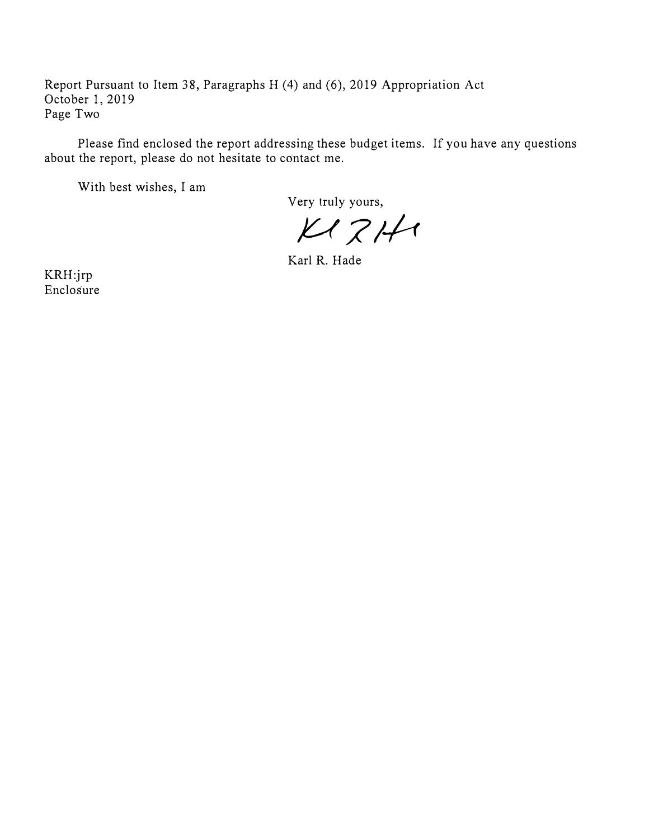Report Pursuant to Item 38, Paragraphs H (4) and (6), 2019 Appropriation Act October 1, 2019 Page Two

Please find enclosed the report addressing these budget items. If you have any questions about the report, please do not hesitate to contact me.

With best wishes, I am

Very truly yours,

 $1274$ 

Karl R. Hade

KRH:jrp Enclosure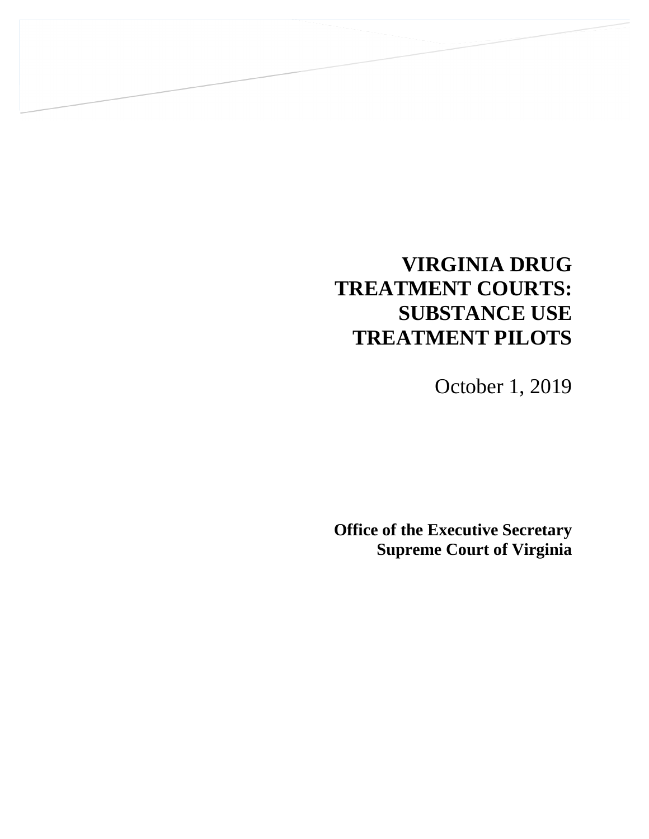# **VIRGINIA DRUG TREATMENT COURTS: SUBSTANCE USE TREATMENT PILOTS**

October 1, 2019

**Office of the Executive Secretary Supreme Court of Virginia**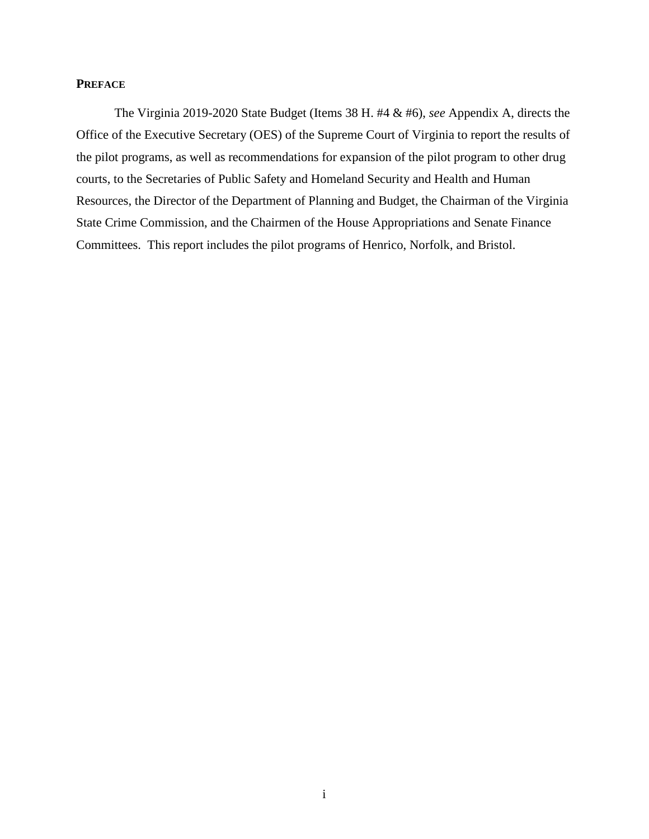# **PREFACE**

The Virginia 2019-2020 State Budget (Items 38 H. #4 & #6), *see* Appendix A, directs the Office of the Executive Secretary (OES) of the Supreme Court of Virginia to report the results of the pilot programs, as well as recommendations for expansion of the pilot program to other drug courts, to the Secretaries of Public Safety and Homeland Security and Health and Human Resources, the Director of the Department of Planning and Budget, the Chairman of the Virginia State Crime Commission, and the Chairmen of the House Appropriations and Senate Finance Committees. This report includes the pilot programs of Henrico, Norfolk, and Bristol.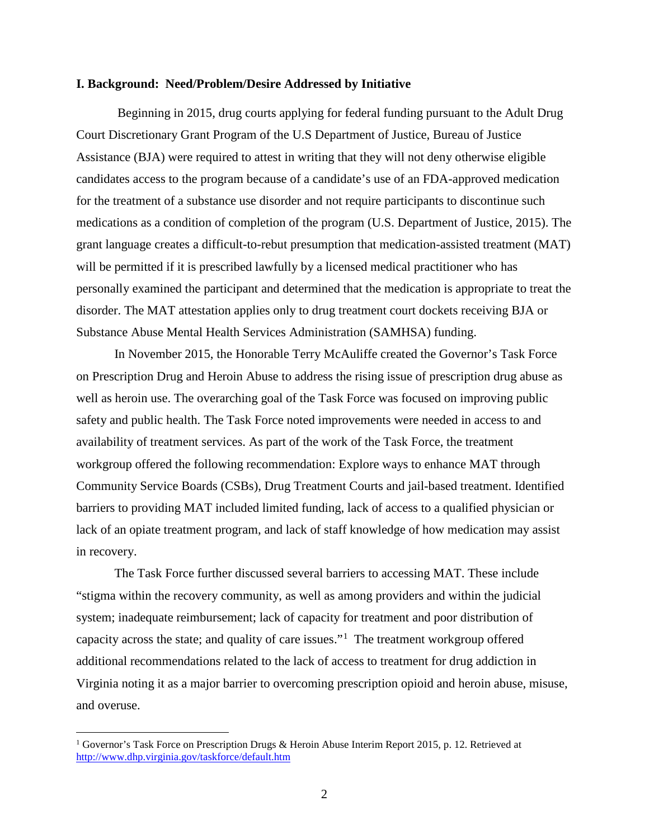#### **I. Background: Need/Problem/Desire Addressed by Initiative**

Beginning in 2015, drug courts applying for federal funding pursuant to the Adult Drug Court Discretionary Grant Program of the U.S Department of Justice, Bureau of Justice Assistance (BJA) were required to attest in writing that they will not deny otherwise eligible candidates access to the program because of a candidate's use of an FDA-approved medication for the treatment of a substance use disorder and not require participants to discontinue such medications as a condition of completion of the program (U.S. Department of Justice, 2015). The grant language creates a difficult-to-rebut presumption that medication-assisted treatment (MAT) will be permitted if it is prescribed lawfully by a licensed medical practitioner who has personally examined the participant and determined that the medication is appropriate to treat the disorder. The MAT attestation applies only to drug treatment court dockets receiving BJA or Substance Abuse Mental Health Services Administration (SAMHSA) funding.

In November 2015, the Honorable Terry McAuliffe created the Governor's Task Force on Prescription Drug and Heroin Abuse to address the rising issue of prescription drug abuse as well as heroin use. The overarching goal of the Task Force was focused on improving public safety and public health. The Task Force noted improvements were needed in access to and availability of treatment services. As part of the work of the Task Force, the treatment workgroup offered the following recommendation: Explore ways to enhance MAT through Community Service Boards (CSBs), Drug Treatment Courts and jail-based treatment. Identified barriers to providing MAT included limited funding, lack of access to a qualified physician or lack of an opiate treatment program, and lack of staff knowledge of how medication may assist in recovery.

The Task Force further discussed several barriers to accessing MAT. These include "stigma within the recovery community, as well as among providers and within the judicial system; inadequate reimbursement; lack of capacity for treatment and poor distribution of capacity across the state; and quality of care issues."[1](#page-4-0) The treatment workgroup offered additional recommendations related to the lack of access to treatment for drug addiction in Virginia noting it as a major barrier to overcoming prescription opioid and heroin abuse, misuse, and overuse.

<span id="page-4-0"></span><sup>&</sup>lt;sup>1</sup> Governor's Task Force on Prescription Drugs & Heroin Abuse Interim Report 2015, p. 12. Retrieved at <http://www.dhp.virginia.gov/taskforce/default.htm>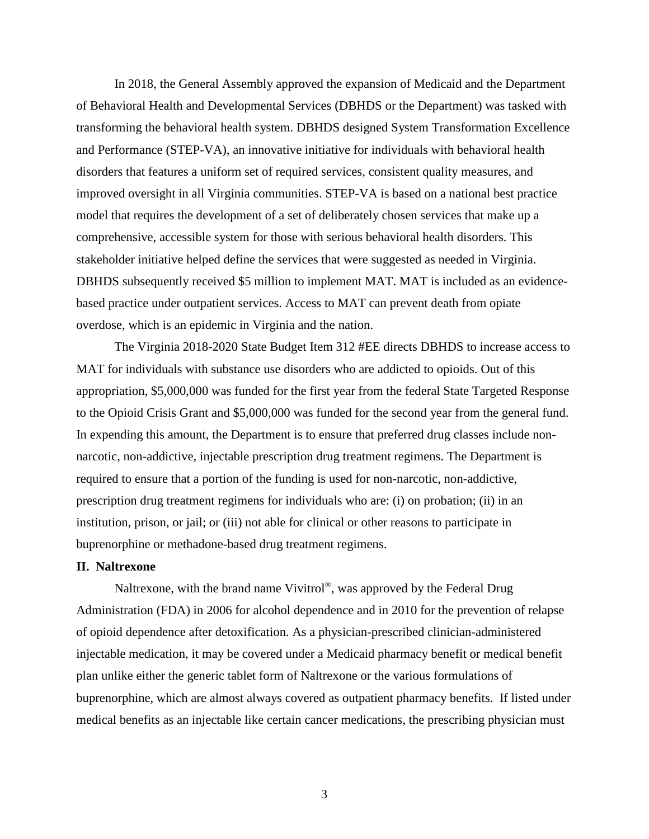In 2018, the General Assembly approved the expansion of Medicaid and the Department of Behavioral Health and Developmental Services (DBHDS or the Department) was tasked with transforming the behavioral health system. DBHDS designed System Transformation Excellence and Performance (STEP-VA), an innovative initiative for individuals with behavioral health disorders that features a uniform set of required services, consistent quality measures, and improved oversight in all Virginia communities. STEP-VA is based on a national best practice model that requires the development of a set of deliberately chosen services that make up a comprehensive, accessible system for those with serious behavioral health disorders. This stakeholder initiative helped define the services that were suggested as needed in Virginia. DBHDS subsequently received \$5 million to implement MAT. MAT is included as an evidencebased practice under outpatient services. Access to MAT can prevent death from opiate overdose, which is an epidemic in Virginia and the nation.

The Virginia 2018-2020 State Budget Item 312 #EE directs DBHDS to increase access to MAT for individuals with substance use disorders who are addicted to opioids. Out of this appropriation, \$5,000,000 was funded for the first year from the federal State Targeted Response to the Opioid Crisis Grant and \$5,000,000 was funded for the second year from the general fund. In expending this amount, the Department is to ensure that preferred drug classes include nonnarcotic, non-addictive, injectable prescription drug treatment regimens. The Department is required to ensure that a portion of the funding is used for non-narcotic, non-addictive, prescription drug treatment regimens for individuals who are: (i) on probation; (ii) in an institution, prison, or jail; or (iii) not able for clinical or other reasons to participate in buprenorphine or methadone-based drug treatment regimens.

#### **II. Naltrexone**

Naltrexone, with the brand name Vivitrol<sup>®</sup>, was approved by the Federal Drug Administration (FDA) in 2006 for alcohol dependence and in 2010 for the prevention of relapse of opioid dependence after detoxification. As a physician-prescribed clinician-administered injectable medication, it may be covered under a Medicaid pharmacy benefit or medical benefit plan unlike either the generic tablet form of Naltrexone or the various formulations of buprenorphine, which are almost always covered as outpatient pharmacy benefits. If listed under medical benefits as an injectable like certain cancer medications, the prescribing physician must

3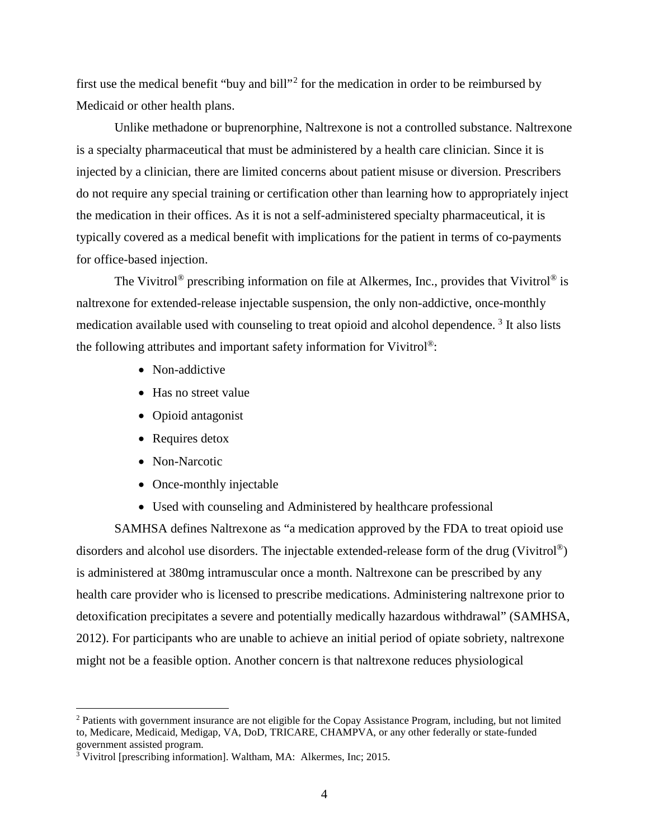first use the medical benefit "buy and bill"[2](#page-6-0) for the medication in order to be reimbursed by Medicaid or other health plans.

Unlike methadone or buprenorphine, Naltrexone is not a controlled substance. Naltrexone is a specialty pharmaceutical that must be administered by a health care clinician. Since it is injected by a clinician, there are limited concerns about patient misuse or diversion. Prescribers do not require any special training or certification other than learning how to appropriately inject the medication in their offices. As it is not a self-administered specialty pharmaceutical, it is typically covered as a medical benefit with implications for the patient in terms of co-payments for office-based injection.

The Vivitrol<sup>®</sup> prescribing information on file at Alkermes, Inc., provides that Vivitrol<sup>®</sup> is naltrexone for extended-release injectable suspension, the only non-addictive, once-monthly medication available used with counseling to treat opioid and alcohol dependence.<sup>[3](#page-6-1)</sup> It also lists the following attributes and important safety information for Vivitrol®:

- Non-addictive
- Has no street value
- Opioid antagonist
- Requires detox
- Non-Narcotic
- Once-monthly injectable
- Used with counseling and Administered by healthcare professional

SAMHSA defines Naltrexone as "a medication approved by the FDA to treat opioid use disorders and alcohol use disorders. The injectable extended-release form of the drug (Vivitrol®) is administered at 380mg intramuscular once a month. Naltrexone can be prescribed by any health care provider who is licensed to prescribe medications. Administering naltrexone prior to detoxification precipitates a severe and potentially medically hazardous withdrawal" (SAMHSA, 2012). For participants who are unable to achieve an initial period of opiate sobriety, naltrexone might not be a feasible option. Another concern is that naltrexone reduces physiological

<span id="page-6-0"></span><sup>2</sup> Patients with government insurance are not eligible for the Copay Assistance Program, including, but not limited to, Medicare, Medicaid, Medigap, VA, DoD, TRICARE, CHAMPVA, or any other federally or state-funded government assisted program.

<span id="page-6-1"></span><sup>&</sup>lt;sup>3</sup> Vivitrol [prescribing information]. Waltham, MA: Alkermes, Inc; 2015.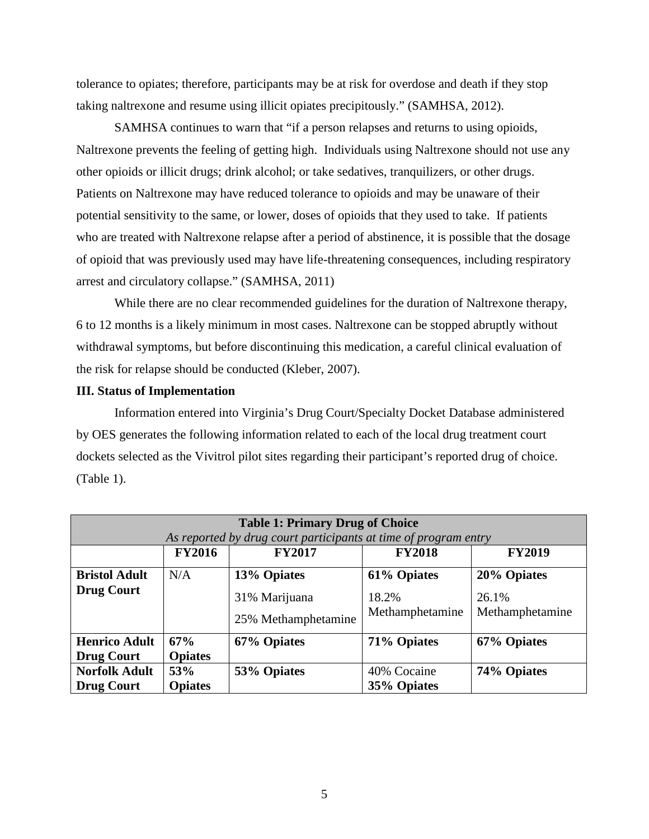tolerance to opiates; therefore, participants may be at risk for overdose and death if they stop taking naltrexone and resume using illicit opiates precipitously." (SAMHSA, 2012).

SAMHSA continues to warn that "if a person relapses and returns to using opioids, Naltrexone prevents the feeling of getting high. Individuals using Naltrexone should not use any other opioids or illicit drugs; drink alcohol; or take sedatives, tranquilizers, or other drugs. Patients on Naltrexone may have reduced tolerance to opioids and may be unaware of their potential sensitivity to the same, or lower, doses of opioids that they used to take. If patients who are treated with Naltrexone relapse after a period of abstinence, it is possible that the dosage of opioid that was previously used may have life-threatening consequences, including respiratory arrest and circulatory collapse." (SAMHSA, 2011)

While there are no clear recommended guidelines for the duration of Naltrexone therapy, 6 to 12 months is a likely minimum in most cases. Naltrexone can be stopped abruptly without withdrawal symptoms, but before discontinuing this medication, a careful clinical evaluation of the risk for relapse should be conducted (Kleber, 2007).

#### **III. Status of Implementation**

Information entered into Virginia's Drug Court/Specialty Docket Database administered by OES generates the following information related to each of the local drug treatment court dockets selected as the Vivitrol pilot sites regarding their participant's reported drug of choice. (Table 1).

| <b>Table 1: Primary Drug of Choice</b>                          |                |                     |                 |                 |  |  |  |
|-----------------------------------------------------------------|----------------|---------------------|-----------------|-----------------|--|--|--|
| As reported by drug court participants at time of program entry |                |                     |                 |                 |  |  |  |
|                                                                 | <b>FY2016</b>  | <b>FY2017</b>       | <b>FY2018</b>   | <b>FY2019</b>   |  |  |  |
| <b>Bristol Adult</b>                                            | N/A            | 13% Opiates         | 61% Opiates     | 20% Opiates     |  |  |  |
| <b>Drug Court</b>                                               |                | 31% Marijuana       | 18.2%           | 26.1%           |  |  |  |
|                                                                 |                | 25% Methamphetamine | Methamphetamine | Methamphetamine |  |  |  |
| <b>Henrico Adult</b>                                            | 67%            | 67% Opiates         | 71% Opiates     | 67% Opiates     |  |  |  |
| <b>Drug Court</b>                                               | <b>Opiates</b> |                     |                 |                 |  |  |  |
| <b>Norfolk Adult</b>                                            | 53%            | 53% Opiates         | 40% Cocaine     | 74% Opiates     |  |  |  |
| <b>Drug Court</b>                                               | <b>Opiates</b> |                     | 35% Opiates     |                 |  |  |  |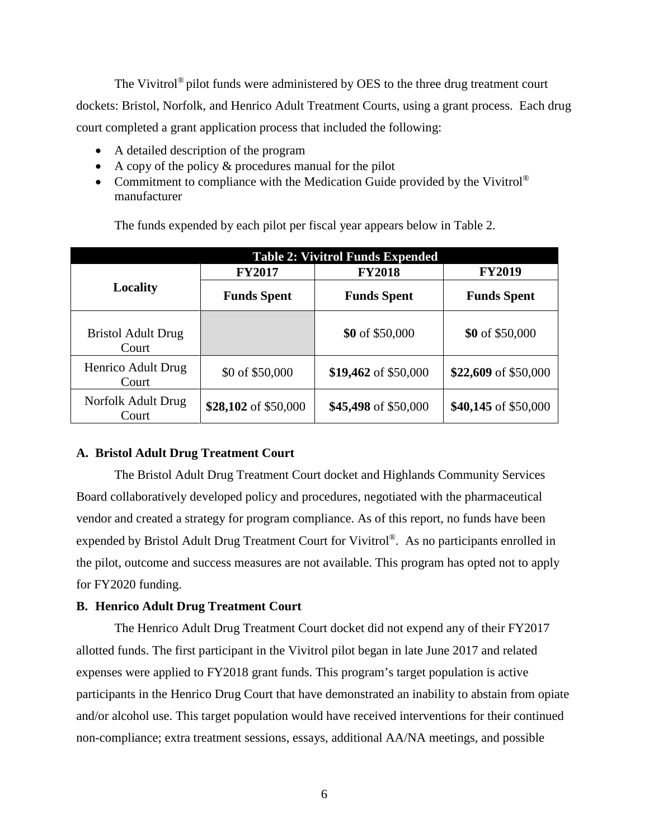The Vivitrol® pilot funds were administered by OES to the three drug treatment court dockets: Bristol, Norfolk, and Henrico Adult Treatment Courts, using a grant process. Each drug court completed a grant application process that included the following:

- A detailed description of the program
- A copy of the policy  $&$  procedures manual for the pilot
- Commitment to compliance with the Medication Guide provided by the Vivitrol<sup>®</sup> manufacturer

The funds expended by each pilot per fiscal year appears below in Table 2.

| <b>Table 2: Vivitrol Funds Expended</b> |                      |                      |                      |  |  |  |
|-----------------------------------------|----------------------|----------------------|----------------------|--|--|--|
|                                         | <b>FY2017</b>        | <b>FY2018</b>        | <b>FY2019</b>        |  |  |  |
| Locality                                | <b>Funds Spent</b>   | <b>Funds Spent</b>   | <b>Funds Spent</b>   |  |  |  |
| <b>Bristol Adult Drug</b><br>Court      |                      | \$0 of \$50,000      | \$0 of \$50,000      |  |  |  |
| Henrico Adult Drug<br>Court             | \$0 of \$50,000      | \$19,462 of \$50,000 | \$22,609 of \$50,000 |  |  |  |
| Norfolk Adult Drug<br>Court             | \$28,102 of \$50,000 | \$45,498 of \$50,000 | \$40,145 of \$50,000 |  |  |  |

# **A. Bristol Adult Drug Treatment Court**

The Bristol Adult Drug Treatment Court docket and Highlands Community Services Board collaboratively developed policy and procedures, negotiated with the pharmaceutical vendor and created a strategy for program compliance. As of this report, no funds have been expended by Bristol Adult Drug Treatment Court for Vivitrol<sup>®</sup>. As no participants enrolled in the pilot, outcome and success measures are not available. This program has opted not to apply for FY2020 funding.

# **B. Henrico Adult Drug Treatment Court**

The Henrico Adult Drug Treatment Court docket did not expend any of their FY2017 allotted funds. The first participant in the Vivitrol pilot began in late June 2017 and related expenses were applied to FY2018 grant funds. This program's target population is active participants in the Henrico Drug Court that have demonstrated an inability to abstain from opiate and/or alcohol use. This target population would have received interventions for their continued non-compliance; extra treatment sessions, essays, additional AA/NA meetings, and possible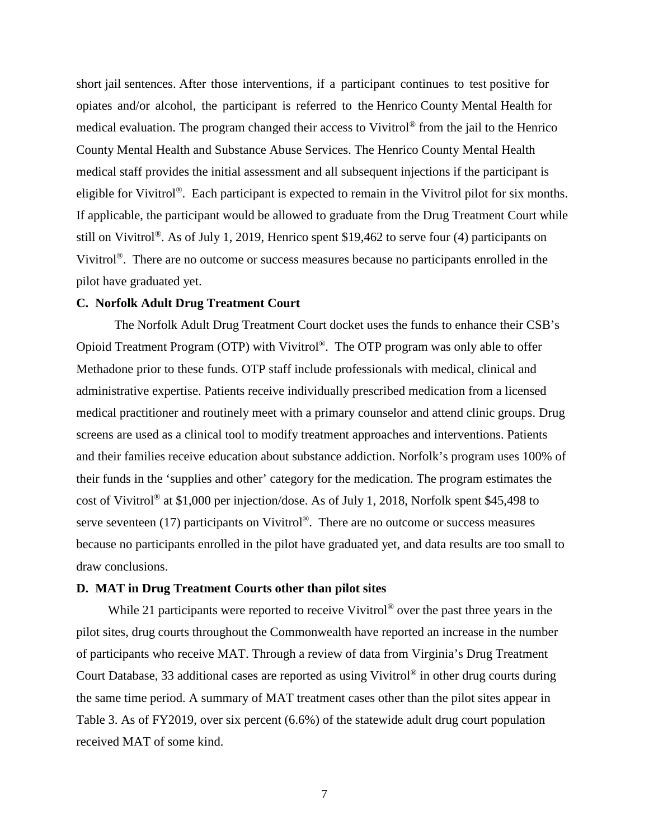short jail sentences. After those interventions, if a participant continues to test positive for opiates and/or alcohol, the participant is referred to the Henrico County Mental Health for medical evaluation. The program changed their access to Vivitrol® from the jail to the Henrico County Mental Health and Substance Abuse Services. The Henrico County Mental Health medical staff provides the initial assessment and all subsequent injections if the participant is eligible for Vivitrol®. Each participant is expected to remain in the Vivitrol pilot for six months. If applicable, the participant would be allowed to graduate from the Drug Treatment Court while still on Vivitrol®. As of July 1, 2019, Henrico spent \$19,462 to serve four (4) participants on Vivitrol®. There are no outcome or success measures because no participants enrolled in the pilot have graduated yet.

#### **C. Norfolk Adult Drug Treatment Court**

The Norfolk Adult Drug Treatment Court docket uses the funds to enhance their CSB's Opioid Treatment Program (OTP) with Vivitrol®. The OTP program was only able to offer Methadone prior to these funds. OTP staff include professionals with medical, clinical and administrative expertise. Patients receive individually prescribed medication from a licensed medical practitioner and routinely meet with a primary counselor and attend clinic groups. Drug screens are used as a clinical tool to modify treatment approaches and interventions. Patients and their families receive education about substance addiction. Norfolk's program uses 100% of their funds in the 'supplies and other' category for the medication. The program estimates the cost of Vivitrol® at \$1,000 per injection/dose. As of July 1, 2018, Norfolk spent \$45,498 to serve seventeen (17) participants on Vivitrol<sup>®</sup>. There are no outcome or success measures because no participants enrolled in the pilot have graduated yet, and data results are too small to draw conclusions.

### **D. MAT in Drug Treatment Courts other than pilot sites**

While 21 participants were reported to receive Vivitrol<sup>®</sup> over the past three years in the pilot sites, drug courts throughout the Commonwealth have reported an increase in the number of participants who receive MAT. Through a review of data from Virginia's Drug Treatment Court Database, 33 additional cases are reported as using Vivitrol® in other drug courts during the same time period. A summary of MAT treatment cases other than the pilot sites appear in Table 3. As of FY2019, over six percent (6.6%) of the statewide adult drug court population received MAT of some kind.

7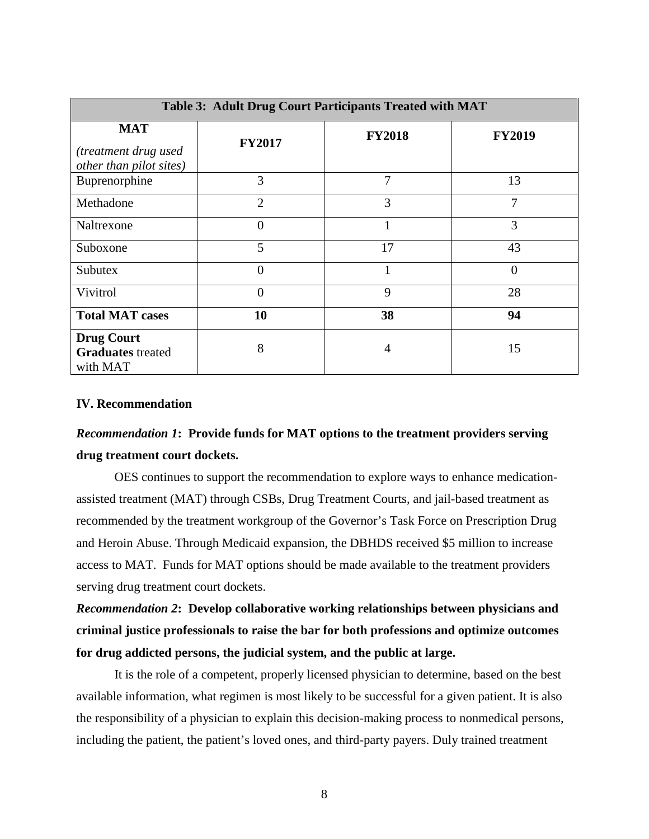| Table 3: Adult Drug Court Participants Treated with MAT       |                |               |                |  |  |  |
|---------------------------------------------------------------|----------------|---------------|----------------|--|--|--|
| <b>MAT</b><br>(treatment drug used<br>other than pilot sites) | <b>FY2017</b>  | <b>FY2018</b> | <b>FY2019</b>  |  |  |  |
| Buprenorphine                                                 | 3              | 7             | 13             |  |  |  |
| Methadone                                                     | $\overline{2}$ | 3             | 7              |  |  |  |
| Naltrexone                                                    | 0              | 1             | 3              |  |  |  |
| Suboxone                                                      | 5              | 17            | 43             |  |  |  |
| <b>Subutex</b>                                                | 0              |               | $\overline{0}$ |  |  |  |
| Vivitrol                                                      | 0              | 9             | 28             |  |  |  |
| <b>Total MAT cases</b>                                        | 10             | 38            | 94             |  |  |  |
| <b>Drug Court</b><br><b>Graduates</b> treated<br>with MAT     | 8              | 4             | 15             |  |  |  |

#### **IV. Recommendation**

# *Recommendation 1***: Provide funds for MAT options to the treatment providers serving drug treatment court dockets.**

OES continues to support the recommendation to explore ways to enhance medicationassisted treatment (MAT) through CSBs, Drug Treatment Courts, and jail-based treatment as recommended by the treatment workgroup of the Governor's Task Force on Prescription Drug and Heroin Abuse. Through Medicaid expansion, the DBHDS received \$5 million to increase access to MAT. Funds for MAT options should be made available to the treatment providers serving drug treatment court dockets.

*Recommendation 2***: Develop collaborative working relationships between physicians and criminal justice professionals to raise the bar for both professions and optimize outcomes for drug addicted persons, the judicial system, and the public at large.** 

It is the role of a competent, properly licensed physician to determine, based on the best available information, what regimen is most likely to be successful for a given patient. It is also the responsibility of a physician to explain this decision-making process to nonmedical persons, including the patient, the patient's loved ones, and third-party payers. Duly trained treatment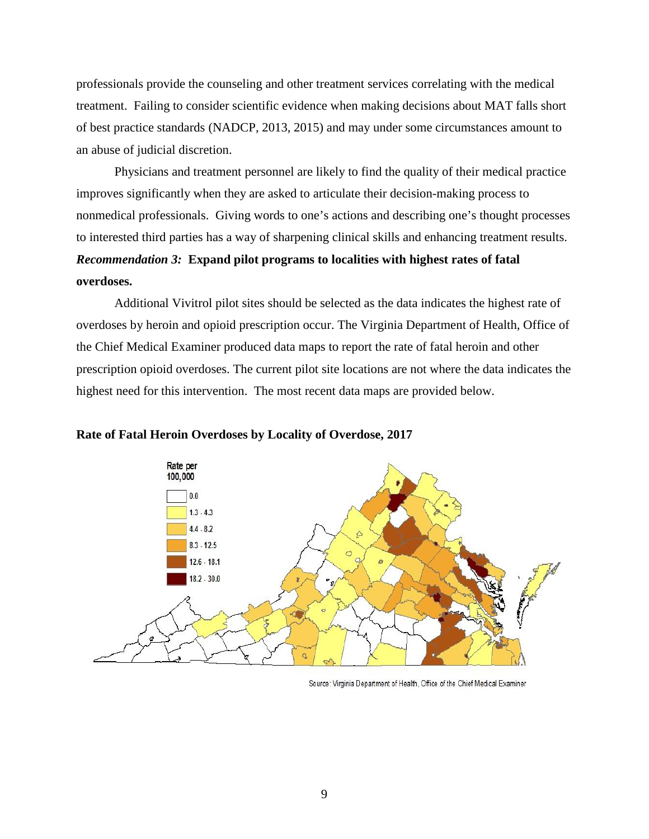professionals provide the counseling and other treatment services correlating with the medical treatment. Failing to consider scientific evidence when making decisions about MAT falls short of best practice standards (NADCP, 2013, 2015) and may under some circumstances amount to an abuse of judicial discretion.

Physicians and treatment personnel are likely to find the quality of their medical practice improves significantly when they are asked to articulate their decision-making process to nonmedical professionals. Giving words to one's actions and describing one's thought processes to interested third parties has a way of sharpening clinical skills and enhancing treatment results. *Recommendation 3:* **Expand pilot programs to localities with highest rates of fatal overdoses.**

Additional Vivitrol pilot sites should be selected as the data indicates the highest rate of overdoses by heroin and opioid prescription occur. The Virginia Department of Health, Office of the Chief Medical Examiner produced data maps to report the rate of fatal heroin and other prescription opioid overdoses. The current pilot site locations are not where the data indicates the highest need for this intervention. The most recent data maps are provided below.

#### **Rate of Fatal Heroin Overdoses by Locality of Overdose, 2017**



Source: Virginia Department of Health, Office of the Chief Medical Examiner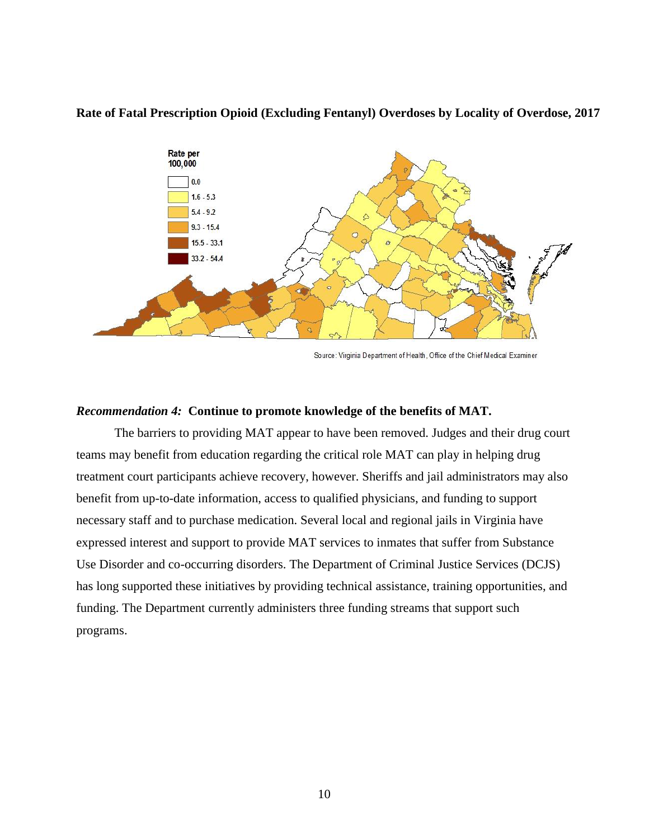

#### **Rate of Fatal Prescription Opioid (Excluding Fentanyl) Overdoses by Locality of Overdose, 2017**

Source: Virginia Department of Health, Office of the Chief Medical Examiner

#### *Recommendation 4:* **Continue to promote knowledge of the benefits of MAT.**

The barriers to providing MAT appear to have been removed. Judges and their drug court teams may benefit from education regarding the critical role MAT can play in helping drug treatment court participants achieve recovery, however. Sheriffs and jail administrators may also benefit from up-to-date information, access to qualified physicians, and funding to support necessary staff and to purchase medication. Several local and regional jails in Virginia have expressed interest and support to provide MAT services to inmates that suffer from Substance Use Disorder and co-occurring disorders. The Department of Criminal Justice Services (DCJS) has long supported these initiatives by providing technical assistance, training opportunities, and funding. The Department currently administers three funding streams that support such programs.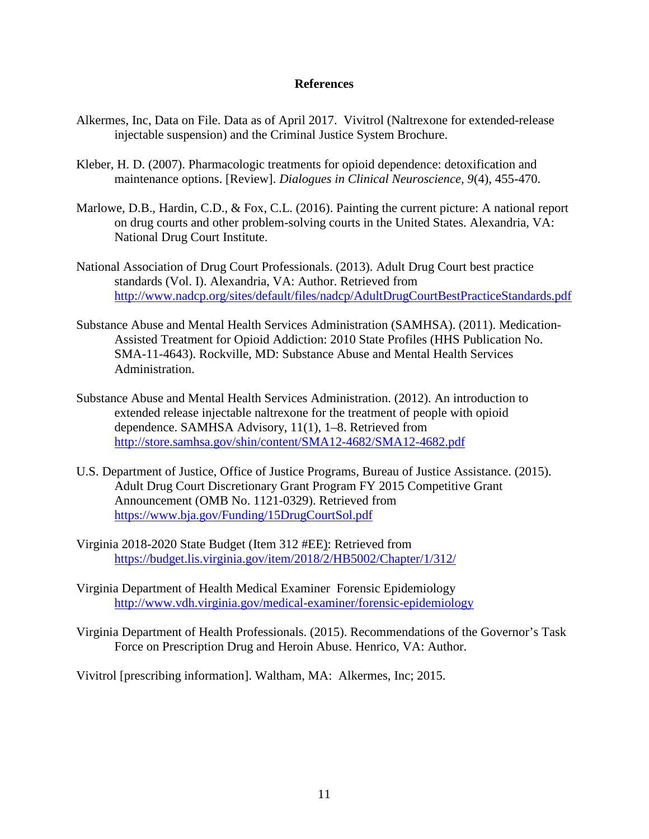#### **References**

- Alkermes, Inc, Data on File. Data as of April 2017. Vivitrol (Naltrexone for extended-release injectable suspension) and the Criminal Justice System Brochure.
- Kleber, H. D. (2007). Pharmacologic treatments for opioid dependence: detoxification and maintenance options. [Review]. *Dialogues in Clinical Neuroscience, 9*(4), 455-470.
- Marlowe, D.B., Hardin, C.D., & Fox, C.L. (2016). Painting the current picture: A national report on drug courts and other problem-solving courts in the United States. Alexandria, VA: National Drug Court Institute.
- National Association of Drug Court Professionals. (2013). Adult Drug Court best practice standards (Vol. I). Alexandria, VA: Author. Retrieved from http://www.nadcp.org/sites/default/files/nadcp/AdultDrugCourtBestPracticeStandards.pdf
- Substance Abuse and Mental Health Services Administration (SAMHSA). (2011). Medication-Assisted Treatment for Opioid Addiction: 2010 State Profiles (HHS Publication No. SMA-11-4643). Rockville, MD: Substance Abuse and Mental Health Services Administration.
- Substance Abuse and Mental Health Services Administration. (2012). An introduction to extended release injectable naltrexone for the treatment of people with opioid dependence. SAMHSA Advisory, 11(1), 1–8. Retrieved from <http://store.samhsa.gov/shin/content/SMA12-4682/SMA12-4682.pdf>
- U.S. Department of Justice, Office of Justice Programs, Bureau of Justice Assistance. (2015). Adult Drug Court Discretionary Grant Program FY 2015 Competitive Grant Announcement (OMB No. 1121-0329). Retrieved from <https://www.bja.gov/Funding/15DrugCourtSol.pdf>
- Virginia 2018-2020 State Budget (Item 312 #EE): Retrieved from <https://budget.lis.virginia.gov/item/2018/2/HB5002/Chapter/1/312/>
- Virginia Department of Health [Medical Examiner](http://www.vdh.virginia.gov/medical-examiner) Forensic Epidemiology <http://www.vdh.virginia.gov/medical-examiner/forensic-epidemiology>
- Virginia Department of Health Professionals. (2015). Recommendations of the Governor's Task Force on Prescription Drug and Heroin Abuse. Henrico, VA: Author.

Vivitrol [prescribing information]. Waltham, MA: Alkermes, Inc; 2015.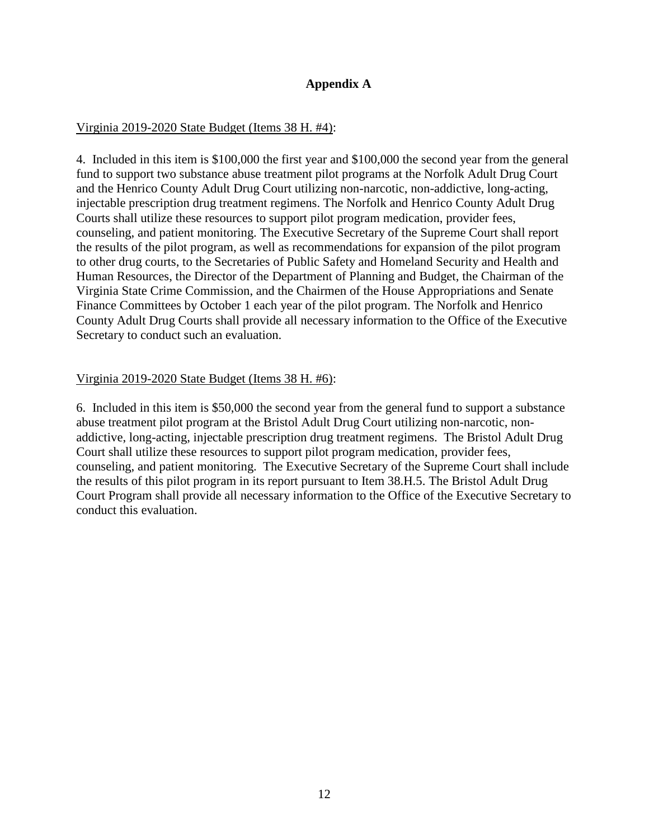# **Appendix A**

#### Virginia 2019-2020 State Budget (Items 38 H. #4):

4. Included in this item is \$100,000 the first year and \$100,000 the second year from the general fund to support two substance abuse treatment pilot programs at the Norfolk Adult Drug Court and the Henrico County Adult Drug Court utilizing non-narcotic, non-addictive, long-acting, injectable prescription drug treatment regimens. The Norfolk and Henrico County Adult Drug Courts shall utilize these resources to support pilot program medication, provider fees, counseling, and patient monitoring. The Executive Secretary of the Supreme Court shall report the results of the pilot program, as well as recommendations for expansion of the pilot program to other drug courts, to the Secretaries of Public Safety and Homeland Security and Health and Human Resources, the Director of the Department of Planning and Budget, the Chairman of the Virginia State Crime Commission, and the Chairmen of the House Appropriations and Senate Finance Committees by October 1 each year of the pilot program. The Norfolk and Henrico County Adult Drug Courts shall provide all necessary information to the Office of the Executive Secretary to conduct such an evaluation.

#### Virginia 2019-2020 State Budget (Items 38 H. #6):

6. Included in this item is \$50,000 the second year from the general fund to support a substance abuse treatment pilot program at the Bristol Adult Drug Court utilizing non-narcotic, nonaddictive, long-acting, injectable prescription drug treatment regimens. The Bristol Adult Drug Court shall utilize these resources to support pilot program medication, provider fees, counseling, and patient monitoring. The Executive Secretary of the Supreme Court shall include the results of this pilot program in its report pursuant to Item 38.H.5. The Bristol Adult Drug Court Program shall provide all necessary information to the Office of the Executive Secretary to conduct this evaluation.